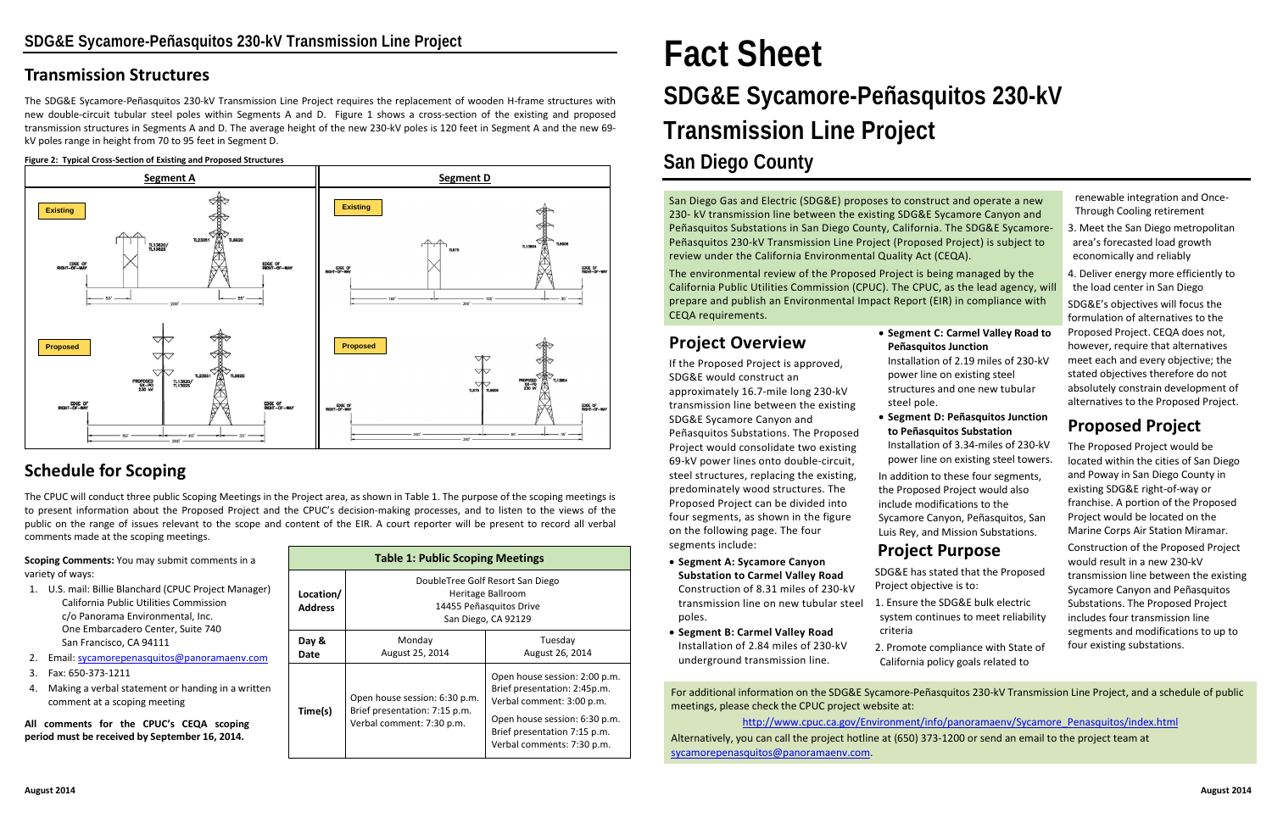## **Transmission Structures**

The SDG&E Sycamore-Peñasquitos 230-kV Transmission Line Project requires the replacement of wooden H-frame structures with new double-circuit tubular steel poles within Segments A and D. Figure 1 shows a cross-section of the existing and proposed transmission structures in Segments A and D. The average height of the new 230-kV poles is 120 feet in Segment A and the new 69 kV poles range in height from 70 to 95 feet in Segment D.

#### **Figure 2: Typical Cross-Section of Existing and Proposed Structures**

## **Schedule for Scoping**

The CPUC will conduct three public Scoping Meetings in the Project area, as shown in Table 1. The purpose of the scoping meetings is to present information about the Proposed Project and the CPUC's decision-making processes, and to listen to the views of the public on the range of issues relevant to the scope and content of the EIR. A court reporter will be present to record all verbal comments made at the scoping meetings.

**Scoping Comments:** You may submit comments in a variety of ways:

- 1. U.S. mail: Billie Blanchard (CPUC Project Manager) California Public Utilities Commission c/o Panorama Environmental, Inc. One Embarcadero Center, Suite 740 San Francisco, CA 94111
- 2. Email: [sycamorepenasquitos@panoramaenv.com](mailto:sycamorepenasquitos@panoramaenv.com)
- 3. Fax: 650-373-1211
- 4. Making a verbal statement or handing in a written comment at a scoping meeting

**All comments for the CPUC's CEQA scoping period must be received by September 16, 2014.** 

# **Fact Sheet SDG&E Sycamore-Peñasquitos 230-kV Transmission Line Project San Diego County**

San Diego Gas and Electric (SDG&E) proposes to construct and operate a new 230- kV transmission line between the existing SDG&E Sycamore Canyon and Peñasquitos Substations in San Diego County, California. The SDG&E Sycamore-Peñasquitos 230-kV Transmission Line Project (Proposed Project) is subject to review under the California Environmental Quality Act (CEQA).

The environmental review of the Proposed Project is being managed by the California Public Utilities Commission (CPUC). The CPUC, as the lead agency, will prepare and publish an Environmental Impact Report (EIR) in compliance with CEQA requirements.

renewable integration and Once-Through Cooling retirement

- 3. Meet the San Diego metropolitan area's forecasted load growth economically and reliably
- 4. Deliver energy more efficiently to the load center in San Diego SDG&E's objectives will focus the formulation of alternatives to the Proposed Project. CEQA does not, however, require that alternatives meet each and every objective; the stated objectives therefore do not absolutely constrain development of alternatives to the Proposed Project.



## **Proposed Project**

The Proposed Project would be located within the cities of San Diego and Poway in San Diego County in existing SDG&E right-of-way or franchise. A portion of the Proposed Project would be located on the Marine Corps Air Station Miramar.

Construction of the Proposed Project would result in a new 230-kV transmission line between the existing Sycamore Canyon and Peñasquitos Substations. The Proposed Project includes four transmission line segments and modifications to up to four existing substations.

### **Project Overview**

If the Proposed Project is approved, SDG&E would construct an approximately 16.7-mile long 230-kV transmission line between the existing SDG&E Sycamore Canyon and Peñasquitos Substations. The Proposed Project would consolidate two existing 69-kV power lines onto double-circuit, steel structures, replacing the existing, predominately wood structures. The Proposed Project can be divided into four segments, as shown in the figure on the following page. The four segments include:

- **Segment A: Sycamore Canyon Substation to Carmel Valley Road** Construction of 8.31 miles of 230-kV transmission line on new tubular steel poles.
- **Segment B: Carmel Valley Road** Installation of 2.84 miles of 230-kV underground transmission line.

### • **Segment C: Carmel Valley Road to Peñasquitos Junction**

Installation of 2.19 miles of 230-kV power line on existing steel structures and one new tubular

- steel pole.
- 

### • **Segment D: Peñasquitos Junction to Peñasquitos Substation**

Installation of 3.34-miles of 230-kV power line on existing steel towers.

In addition to these four segments, the Proposed Project would also include modifications to the Sycamore Canyon, Peñasquitos, San Luis Rey, and Mission Substations.

## **Project Purpose**

SDG&E has stated that the Proposed Project objective is to: 1. Ensure the SDG&E bulk electric system continues to meet reliability

criteria

2. Promote compliance with State of California policy goals related to

| <b>Table 1: Public Scoping Meetings</b> |                                                                                                         |                                                                                                                                                                                           |
|-----------------------------------------|---------------------------------------------------------------------------------------------------------|-------------------------------------------------------------------------------------------------------------------------------------------------------------------------------------------|
| Location/<br><b>Address</b>             | DoubleTree Golf Resort San Diego<br>Heritage Ballroom<br>14455 Peñasquitos Drive<br>San Diego, CA 92129 |                                                                                                                                                                                           |
| Day &<br>Date                           | Monday<br>August 25, 2014                                                                               | Tuesday<br>August 26, 2014                                                                                                                                                                |
| Time(s)                                 | Open house session: 6:30 p.m.<br>Brief presentation: 7:15 p.m.<br>Verbal comment: 7:30 p.m.             | Open house session: 2:00 p.m.<br>Brief presentation: 2:45p.m.<br>Verbal comment: 3:00 p.m.<br>Open house session: 6:30 p.m.<br>Brief presentation 7:15 p.m.<br>Verbal comments: 7:30 p.m. |

For additional information on the SDG&E Sycamore-Peñasquitos 230-kV Transmission Line Project, and a schedule of public meetings, please check the CPUC project website at:

[http://www.cpuc.ca.gov/Environment/info/panoramaenv/Sycamore\\_Penasquitos/index.html](http://www.cpuc.ca.gov/Environment/info/panoramaenv/Sycamore_Penasquitos/index.html) Alternatively, you can call the project hotline at (650) 373-1200 or send an email to the project team at [sycamorepenasquitos@panoramaenv.com.](mailto:sycamorepenasquitos@panoramaenv.com)

**August 2014 August 2014**